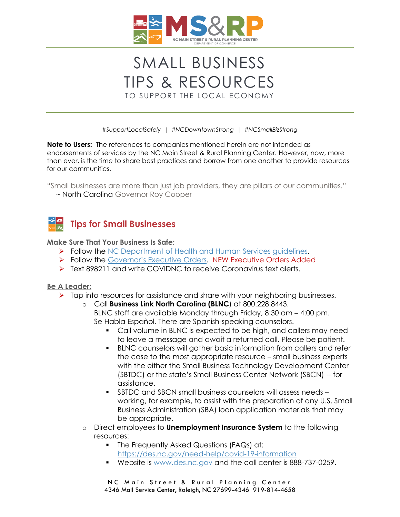

# SMALL BUSINESS TIPS & RESOURCES TO SUPPORT THE LOCAL ECONOMY

*#SupportLocalSafely | #NCDowntownStrong | #NCSmallBizStrong*

**Note to Users:** The references to companies mentioned herein are not intended as endorsements of services by the NC Main Street & Rural Planning Center. However, now, more than ever, is the time to share best practices and borrow from one another to provide resources for our communities.

"Small businesses are more than just job providers, they are pillars of our communities."

*~* North Carolina Governor Roy Cooper



#### **Make Sure That Your Business Is Safe:**

- ➢ Follow the [NC Department of Health and Human Services guidelines.](https://www.ncdhhs.gov/divisions/public-health/coronavirus-disease-2019-covid-19-response-north-carolina/businesses-employers)
- ➢ Follow the [Governor's Executive Orders](https://governor.nc.gov/news/executive-orders). NEW Executive Orders Added
- ➢ Text 898211 and write COVIDNC to receive Coronavirus text alerts.

#### **Be A Leader:**

- ➢ Tap into resources for assistance and share with your neighboring businesses.
	- o Call **Business Link North Carolina (BLNC**) at 800.228.8443. BLNC staff are available Monday through Friday, 8:30 am – 4:00 pm. Se Habla Español. There are Spanish-speaking counselors.
		- Call volume in BLNC is expected to be high, and callers may need to leave a message and await a returned call. Please be patient.
		- BLNC counselors will gather basic information from callers and refer the case to the most appropriate resource – small business experts with the either the Small Business Technology Development Center (SBTDC) or the state's Small Business Center Network (SBCN) -- for assistance.
		- SBTDC and SBCN small business counselors will assess needs working, for example, to assist with the preparation of any U.S. Small Business Administration (SBA) loan application materials that may be appropriate.
	- o Direct employees to **Unemployment Insurance System** to the following resources:
		- **•** The Frequently Asked Questions (FAQs) at: <https://des.nc.gov/need-help/covid-19-information>
		- Website is [www.des.nc.gov](http://www.des.nc.gov/) and the call center is [888-737-0259.](tel:888-737-0259)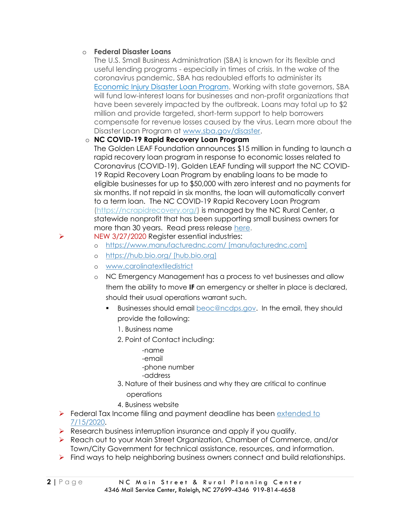#### o **Federal Disaster Loans**

The U.S. Small Business Administration (SBA) is known for its flexible and useful lending programs - especially in times of crisis. In the wake of the coronavirus pandemic, SBA has redoubled efforts to administer its [Economic Injury Disaster Loan Program.](https://www.sba.gov/funding-programs/disaster-assistance) Working with state governors, SBA will fund low-interest loans for businesses and non-profit organizations that have been severely impacted by the outbreak. Loans may total up to \$2 million and provide targeted, short-term support to help borrowers compensate for revenue losses caused by the virus. Learn more about the Disaster Loan Program at [www.sba.gov/disaster.](http://www.sba.gov/disaster)

#### o **NC COVID-19 Rapid Recovery Loan Program**

The Golden LEAF Foundation announces \$15 million in funding to launch a rapid recovery loan program in response to economic losses related to Coronavirus (COVID-19). Golden LEAF funding will support the NC COVID-19 Rapid Recovery Loan Program by enabling loans to be made to eligible businesses for up to \$50,000 with zero interest and no payments for six months. If not repaid in six months, the loan will automatically convert to a term loan. The NC COVID-19 Rapid Recovery Loan Program [\(https://ncrapidrecovery.org/\)](https://ncrapidrecovery.org/) is managed by the NC Rural Center, a statewide nonprofit that has been supporting small business owners for more than 30 years. Read press release [here.](https://www.goldenleaf.org/news/golden-leaf-deploys-15m-for-nc-covid-19-rapid-recovery-loan-program/)

# ➢ NEW 3/27/2020 Register essential industries:

- o [https://www.manufacturednc.com/ \[manufacturednc.com\]](https://www.manufacturednc.com/%20%5bmanufacturednc.com%5d)
- o [https://hub.bio.org/ \[hub.bio.org\]](https://hub.bio.org/%20%5bhub.bio.org%5d)
- o [www.carolinatextiledistrict](http://www.carolinatextiledistrict/)
- o NC Emergency Management has a process to vet businesses and allow them the ability to move **IF** an emergency or shelter in place is declared, should their usual operations warrant such.
	- Businesses should email [beoc@ncdps.gov.](mailto:beoc@ncdps.gov) In the email, they should provide the following:
		- 1. Business name
		- 2. Point of Contact including:
			- -name
			- -email
			- -phone number
			- -address
		- 3. Nature of their business and why they are critical to continue
			- operations
		- 4. Business website
- ➢ Federal Tax Income filing and payment deadline has been [extended to](https://www.irs.gov/newsroom/tax-day-now-july-15-treasury-irs-extend-filing-deadline-and-federal-tax-payments-regardless-of-amount-owed)  [7/15/2020.](https://www.irs.gov/newsroom/tax-day-now-july-15-treasury-irs-extend-filing-deadline-and-federal-tax-payments-regardless-of-amount-owed)
- ➢ Research business interruption insurance and apply if you qualify.
- ➢ Reach out to your Main Street Organization, Chamber of Commerce, and/or Town/City Government for technical assistance, resources, and information.
- ➢ Find ways to help neighboring business owners connect and build relationships.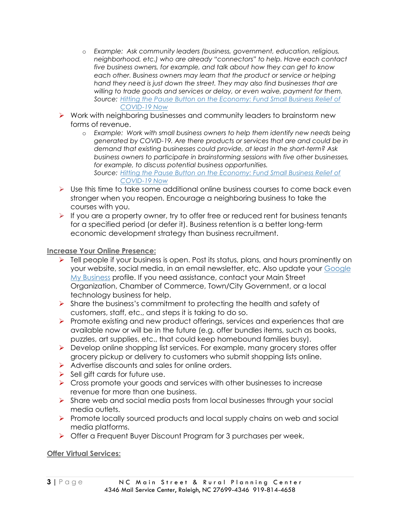- o *Example: Ask community leaders (business, government, education, religious, neighborhood, etc.)* who are already "connectors" to help. Have each contact *five business owners, for example, and talk about how they can get to know each other. Business owners may learn that the product or service or helping hand they need is just down the street. They may also find businesses that are willing to trade goods and services or delay, or even waive, payment for them. Source: [Hitting the Pause Button on the Economy: Fund Small Business Relief of](https://www.recastcity.com/blog-source/2020/3/15/hitting-the-pause-button-on-the-economy-fund-small-business-relief-for-covid-19-now)  [COVID-19 Now](https://www.recastcity.com/blog-source/2020/3/15/hitting-the-pause-button-on-the-economy-fund-small-business-relief-for-covid-19-now)*
- ➢ Work with neighboring businesses and community leaders to brainstorm new forms of revenue.
	- o *Example: Work with small business owners to help them identify new needs being generated by COVID-19. Are there products or services that are and could be in demand that existing businesses could provide, at least in the short-term? Ask business owners to participate in brainstorming sessions with five other businesses, for example, to discuss potential business opportunities. Source: [Hitting the Pause Button on the Economy: Fund Small Business Relief of](https://www.recastcity.com/blog-source/2020/3/15/hitting-the-pause-button-on-the-economy-fund-small-business-relief-for-covid-19-now)*

# *[COVID-19 Now](https://www.recastcity.com/blog-source/2020/3/15/hitting-the-pause-button-on-the-economy-fund-small-business-relief-for-covid-19-now)*

- $\triangleright$  Use this time to take some additional online business courses to come back even stronger when you reopen. Encourage a neighboring business to take the courses with you.
- $\triangleright$  If you are a property owner, try to offer free or reduced rent for business tenants for a specified period (or defer it). Business retention is a better long-term economic development strategy than business recruitment.

#### **Increase Your Online Presence:**

- ➢ Tell people if your business is open. Post its status, plans, and hours prominently on your website, social media, in an email newsletter, etc. Also update your [Google](https://www.google.com/business/go/businessprofile/?gmbsrc=us-en_US-ha-se-z-gmb-s-219-h~z-z-u&ppsrc=GMBS0&utm_campaign=us-en_US-ha-se-z-gmb-s-219-h~z-z-u&utm_source=gmb&utm_medium=ha&&gmbsrc=&ppsrc=&gclid=EAIaIQobChMImqzP7ZOn6AIVBXiGCh0M8w_pEAAYASAAEgKJZ_D_BwE)  [My Business](https://www.google.com/business/go/businessprofile/?gmbsrc=us-en_US-ha-se-z-gmb-s-219-h~z-z-u&ppsrc=GMBS0&utm_campaign=us-en_US-ha-se-z-gmb-s-219-h~z-z-u&utm_source=gmb&utm_medium=ha&&gmbsrc=&ppsrc=&gclid=EAIaIQobChMImqzP7ZOn6AIVBXiGCh0M8w_pEAAYASAAEgKJZ_D_BwE) profile. If you need assistance, contact your Main Street Organization, Chamber of Commerce, Town/City Government, or a local technology business for help.
- $\triangleright$  Share the business's commitment to protecting the health and safety of customers, staff, etc., and steps it is taking to do so.
- ➢ Promote existing and new product offerings, services and experiences that are available now or will be in the future (e.g. offer bundles items, such as books, puzzles, art supplies, etc., that could keep homebound families busy).
- ➢ Develop online shopping list services. For example, many grocery stores offer grocery pickup or delivery to customers who submit shopping lists online.
- ➢ Advertise discounts and sales for online orders.
- $\triangleright$  Sell gift cards for future use.
- ➢ Cross promote your goods and services with other businesses to increase revenue for more than one business.
- ➢ Share web and social media posts from local businesses through your social media outlets.
- ➢ Promote locally sourced products and local supply chains on web and social media platforms.
- ➢ Offer a Frequent Buyer Discount Program for 3 purchases per week.

#### **Offer Virtual Services:**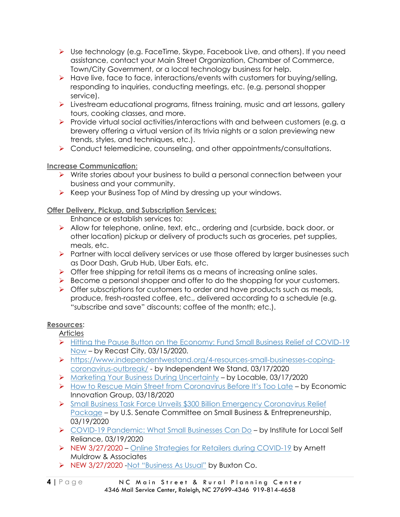- ➢ Use technology (e.g. FaceTime, Skype, Facebook Live, and others). If you need assistance, contact your Main Street Organization, Chamber of Commerce, Town/City Government, or a local technology business for help.
- ➢ Have live, face to face, interactions/events with customers for buying/selling, responding to inquiries, conducting meetings, etc. (e.g. personal shopper service).
- ➢ Livestream educational programs, fitness training, music and art lessons, gallery tours, cooking classes, and more.
- ➢ Provide virtual social activities/interactions with and between customers (e.g. a brewery offering a virtual version of its trivia nights or a salon previewing new trends, styles, and techniques, etc.).
- ➢ Conduct telemedicine, counseling, and other appointments/consultations.

## **Increase Communication:**

- ➢ Write stories about your business to build a personal connection between your business and your community.
- ➢ Keep your Business Top of Mind by dressing up your windows.

# **Offer Delivery, Pickup, and Subscription Services:**

Enhance or establish services to:

- ➢ Allow for telephone, online, text, etc., ordering and (curbside, back door, or other location) pickup or delivery of products such as groceries, pet supplies, meals, etc.
- ➢ Partner with local delivery services or use those offered by larger businesses such as Door Dash, Grub Hub, Uber Eats, etc.
- $\triangleright$  Offer free shipping for retail items as a means of increasing online sales.
- ➢ Become a personal shopper and offer to do the shopping for your customers.
- $\triangleright$  Offer subscriptions for customers to order and have products such as meals, produce, fresh-roasted coffee, etc., delivered according to a schedule (e.g. "subscribe and save" discounts; coffee of the month; etc.).

## **Resources:**

**Articles** 

- ➢ [Hitting the Pause Button on the Economy: Fund Small Business Relief of COVID-19](https://www.recastcity.com/blog-source/2020/3/15/hitting-the-pause-button-on-the-economy-fund-small-business-relief-for-covid-19-now)  [Now](https://www.recastcity.com/blog-source/2020/3/15/hitting-the-pause-button-on-the-economy-fund-small-business-relief-for-covid-19-now) – by Recast City, 03/15/2020.
- ➢ [https://www.independentwestand.org/4-resources-small-businesses-coping](https://www.independentwestand.org/4-resources-small-businesses-coping-coronavirus-outbreak/)[coronavirus-outbreak/](https://www.independentwestand.org/4-resources-small-businesses-coping-coronavirus-outbreak/) - by Independent We Stand, 03/17/2020
- ➢ [Marketing Your Business During Uncertainty](https://www.locable.com/2020/03/13/1082/marketing-your-small-business-or-community-in-this-time-of-the-covid-19-coronavirus/) by Locable, 03/17/2020
- ➢ [How to Rescue Main Street from Coronavirus Before It's Too Late](https://eig.org/news/main-street-rescue-and-resiliency-program) by Economic Innovation Group, 03/18/2020
- ➢ [Small Business Task Force Unveils \\$300 Billion Emergency Coronavirus Relief](https://www.sbc.senate.gov/public/index.cfm/2020/3/small-business-task-forces-unveils-300-billion-emergency-coronavirus-relief-package)  [Package](https://www.sbc.senate.gov/public/index.cfm/2020/3/small-business-task-forces-unveils-300-billion-emergency-coronavirus-relief-package) – by U.S. Senate Committee on Small Business & Entrepreneurship, 03/19/2020
- ➢ [COVID-19 Pandemic: What Small Businesses Can Do](https://ilsr.org/covid-19-pandemic-what-small-businesses-can-do/?fbclid=IwAR3ig-8P_7WOa0UsffL3DKrPXPzm1I8kvAq8tkoYSGfZ92BpENx-7djgYzs) by Institute for Local Self Reliance, 03/19/2020
- ➢ NEW 3/27/2020 [Online Strategies for Retailers during COVID-19](https://www.youtube.com/watch?v=zl06sFUOB4M&fbclid=IwAR2aMuhZJwRwU0K7t02gA25L7PPi3IC6UuwziH8-lNfWxMATPJDkWhnAKBI) by Arnett Muldrow & Associates
- ➢ NEW 3/27/2020 -Not ["Business As Usua](https://www.buxtonco.com/blog/not-business-as-usual?fbclid=IwAR3zHUnJxYyOdj0hzOnh-LB-vvgBb7EnQZW8-lpgilxRQIdt-VdbInRsdgM)l" by Buxton Co.